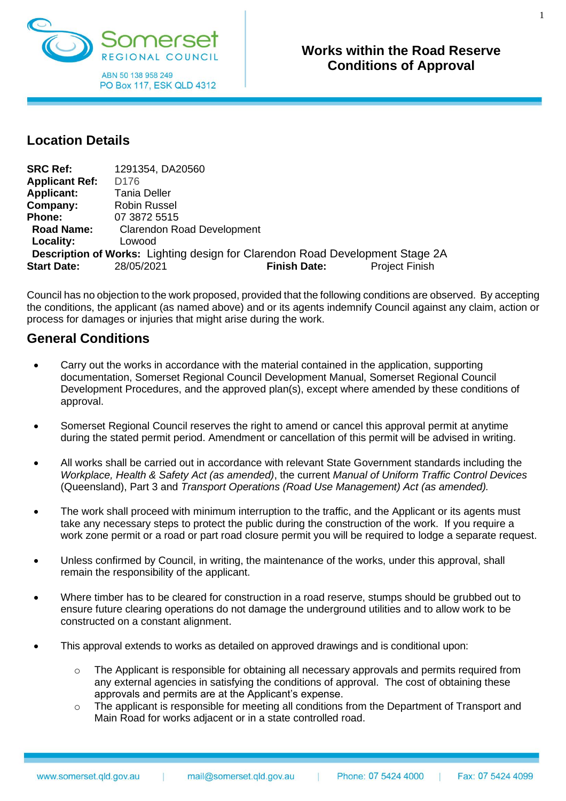

#### **Works within the Road Reserve Conditions of Approval Works within the Road Reserve Conditions of Approval**

### **Location Details**

| <b>SRC Ref:</b>       | 1291354, DA20560                  |                                                                               |                       |
|-----------------------|-----------------------------------|-------------------------------------------------------------------------------|-----------------------|
| <b>Applicant Ref:</b> | D <sub>176</sub>                  |                                                                               |                       |
| <b>Applicant:</b>     | <b>Tania Deller</b>               |                                                                               |                       |
| Company:              | <b>Robin Russel</b>               |                                                                               |                       |
| <b>Phone:</b>         | 07 3872 5515                      |                                                                               |                       |
| <b>Road Name:</b>     | <b>Clarendon Road Development</b> |                                                                               |                       |
| Locality:             | Lowood                            |                                                                               |                       |
|                       |                                   | Description of Works: Lighting design for Clarendon Road Development Stage 2A |                       |
| <b>Start Date:</b>    | 28/05/2021                        | <b>Finish Date:</b>                                                           | <b>Project Finish</b> |

Council has no objection to the work proposed, provided that the following conditions are observed. By accepting the conditions, the applicant (as named above) and or its agents indemnify Council against any claim, action or process for damages or injuries that might arise during the work.

### **General Conditions**

- Carry out the works in accordance with the material contained in the application, supporting documentation, Somerset Regional Council Development Manual, Somerset Regional Council Development Procedures, and the approved plan(s), except where amended by these conditions of approval.
- Somerset Regional Council reserves the right to amend or cancel this approval permit at anytime during the stated permit period. Amendment or cancellation of this permit will be advised in writing.
- All works shall be carried out in accordance with relevant State Government standards including the *Workplace, Health & Safety Act (as amended)*, the current *Manual of Uniform Traffic Control Devices* (Queensland), Part 3 and *Transport Operations (Road Use Management) Act (as amended).*
- The work shall proceed with minimum interruption to the traffic, and the Applicant or its agents must take any necessary steps to protect the public during the construction of the work. If you require a work zone permit or a road or part road closure permit you will be required to lodge a separate request.
- Unless confirmed by Council, in writing, the maintenance of the works, under this approval, shall remain the responsibility of the applicant.
- Where timber has to be cleared for construction in a road reserve, stumps should be grubbed out to ensure future clearing operations do not damage the underground utilities and to allow work to be constructed on a constant alignment.
- This approval extends to works as detailed on approved drawings and is conditional upon:
	- $\circ$  The Applicant is responsible for obtaining all necessary approvals and permits required from any external agencies in satisfying the conditions of approval. The cost of obtaining these approvals and permits are at the Applicant's expense.
	- o The applicant is responsible for meeting all conditions from the Department of Transport and Main Road for works adjacent or in a state controlled road.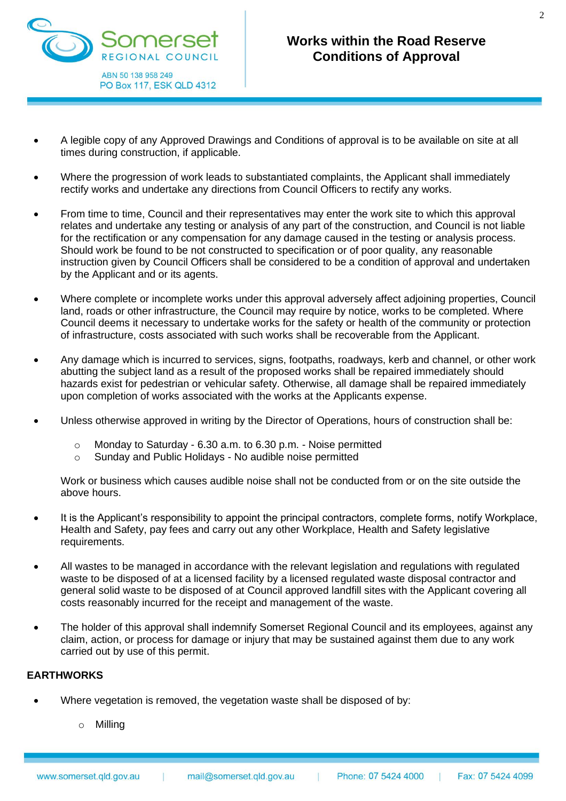

- A legible copy of any Approved Drawings and Conditions of approval is to be available on site at all times during construction, if applicable.
- Where the progression of work leads to substantiated complaints, the Applicant shall immediately rectify works and undertake any directions from Council Officers to rectify any works.
- From time to time, Council and their representatives may enter the work site to which this approval relates and undertake any testing or analysis of any part of the construction, and Council is not liable for the rectification or any compensation for any damage caused in the testing or analysis process. Should work be found to be not constructed to specification or of poor quality, any reasonable instruction given by Council Officers shall be considered to be a condition of approval and undertaken by the Applicant and or its agents.
- Where complete or incomplete works under this approval adversely affect adjoining properties, Council land, roads or other infrastructure, the Council may require by notice, works to be completed. Where Council deems it necessary to undertake works for the safety or health of the community or protection of infrastructure, costs associated with such works shall be recoverable from the Applicant.
- Any damage which is incurred to services, signs, footpaths, roadways, kerb and channel, or other work abutting the subject land as a result of the proposed works shall be repaired immediately should hazards exist for pedestrian or vehicular safety. Otherwise, all damage shall be repaired immediately upon completion of works associated with the works at the Applicants expense.
- Unless otherwise approved in writing by the Director of Operations, hours of construction shall be:
	- o Monday to Saturday 6.30 a.m. to 6.30 p.m. Noise permitted
	- o Sunday and Public Holidays No audible noise permitted

Work or business which causes audible noise shall not be conducted from or on the site outside the above hours.

- It is the Applicant's responsibility to appoint the principal contractors, complete forms, notify Workplace, Health and Safety, pay fees and carry out any other Workplace, Health and Safety legislative requirements.
- All wastes to be managed in accordance with the relevant legislation and regulations with regulated waste to be disposed of at a licensed facility by a licensed regulated waste disposal contractor and general solid waste to be disposed of at Council approved landfill sites with the Applicant covering all costs reasonably incurred for the receipt and management of the waste.
- The holder of this approval shall indemnify Somerset Regional Council and its employees, against any claim, action, or process for damage or injury that may be sustained against them due to any work carried out by use of this permit.

### **EARTHWORKS**

- Where vegetation is removed, the vegetation waste shall be disposed of by:
	- o Milling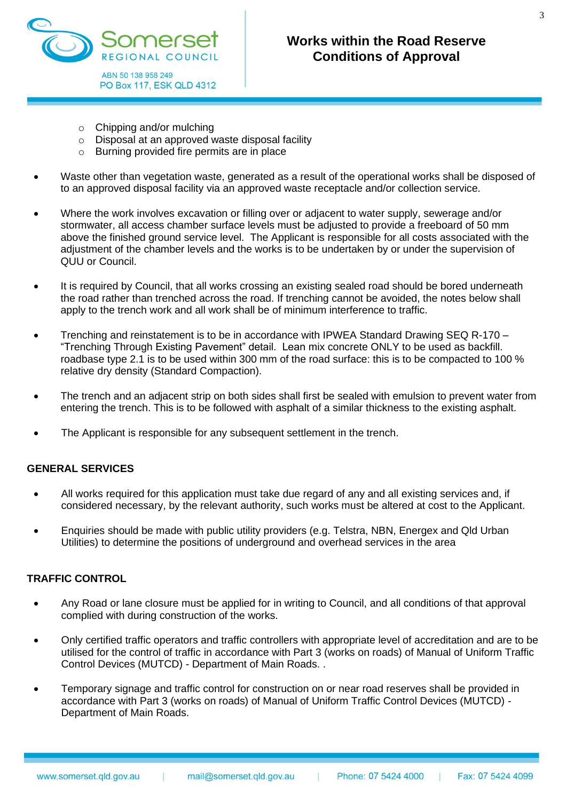

- $\circ$  Chipping and/or mulching
- o Disposal at an approved waste disposal facility
- o Burning provided fire permits are in place
- Waste other than vegetation waste, generated as a result of the operational works shall be disposed of to an approved disposal facility via an approved waste receptacle and/or collection service.
- Where the work involves excavation or filling over or adjacent to water supply, sewerage and/or stormwater, all access chamber surface levels must be adjusted to provide a freeboard of 50 mm above the finished ground service level. The Applicant is responsible for all costs associated with the adjustment of the chamber levels and the works is to be undertaken by or under the supervision of QUU or Council.
- It is required by Council, that all works crossing an existing sealed road should be bored underneath the road rather than trenched across the road. If trenching cannot be avoided, the notes below shall apply to the trench work and all work shall be of minimum interference to traffic.
- Trenching and reinstatement is to be in accordance with IPWEA Standard Drawing SEQ R-170 "Trenching Through Existing Pavement" detail. Lean mix concrete ONLY to be used as backfill. roadbase type 2.1 is to be used within 300 mm of the road surface: this is to be compacted to 100 % relative dry density (Standard Compaction).
- The trench and an adjacent strip on both sides shall first be sealed with emulsion to prevent water from entering the trench. This is to be followed with asphalt of a similar thickness to the existing asphalt.
- The Applicant is responsible for any subsequent settlement in the trench.

### **GENERAL SERVICES**

- All works required for this application must take due regard of any and all existing services and, if considered necessary, by the relevant authority, such works must be altered at cost to the Applicant.
- Enquiries should be made with public utility providers (e.g. Telstra, NBN, Energex and Qld Urban Utilities) to determine the positions of underground and overhead services in the area

### **TRAFFIC CONTROL**

- Any Road or lane closure must be applied for in writing to Council, and all conditions of that approval complied with during construction of the works.
- Only certified traffic operators and traffic controllers with appropriate level of accreditation and are to be utilised for the control of traffic in accordance with Part 3 (works on roads) of Manual of Uniform Traffic Control Devices (MUTCD) - Department of Main Roads. .
- Temporary signage and traffic control for construction on or near road reserves shall be provided in accordance with Part 3 (works on roads) of Manual of Uniform Traffic Control Devices (MUTCD) - Department of Main Roads.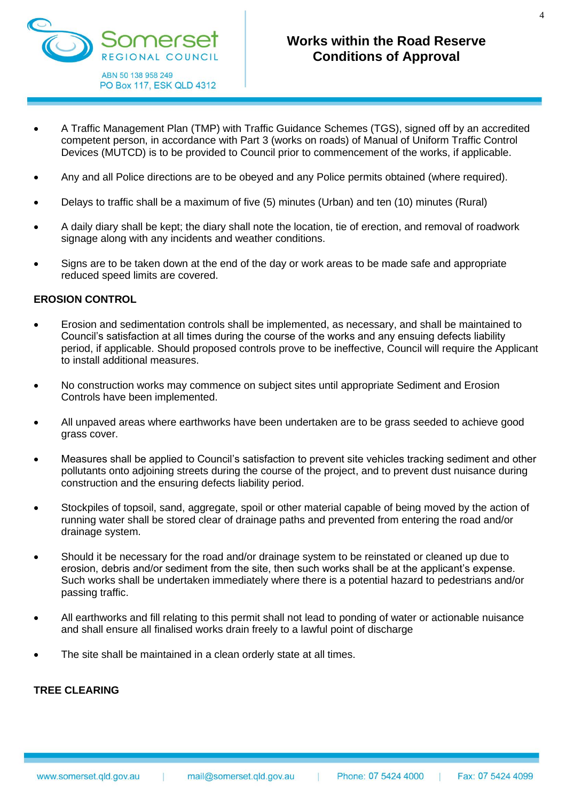

- A Traffic Management Plan (TMP) with Traffic Guidance Schemes (TGS), signed off by an accredited competent person, in accordance with Part 3 (works on roads) of Manual of Uniform Traffic Control Devices (MUTCD) is to be provided to Council prior to commencement of the works, if applicable.
- Any and all Police directions are to be obeyed and any Police permits obtained (where required).
- Delays to traffic shall be a maximum of five (5) minutes (Urban) and ten (10) minutes (Rural)
- A daily diary shall be kept; the diary shall note the location, tie of erection, and removal of roadwork signage along with any incidents and weather conditions.
- Signs are to be taken down at the end of the day or work areas to be made safe and appropriate reduced speed limits are covered.

### **EROSION CONTROL**

- Erosion and sedimentation controls shall be implemented, as necessary, and shall be maintained to Council's satisfaction at all times during the course of the works and any ensuing defects liability period, if applicable. Should proposed controls prove to be ineffective, Council will require the Applicant to install additional measures.
- No construction works may commence on subject sites until appropriate Sediment and Erosion Controls have been implemented.
- All unpaved areas where earthworks have been undertaken are to be grass seeded to achieve good grass cover.
- Measures shall be applied to Council's satisfaction to prevent site vehicles tracking sediment and other pollutants onto adjoining streets during the course of the project, and to prevent dust nuisance during construction and the ensuring defects liability period.
- Stockpiles of topsoil, sand, aggregate, spoil or other material capable of being moved by the action of running water shall be stored clear of drainage paths and prevented from entering the road and/or drainage system.
- Should it be necessary for the road and/or drainage system to be reinstated or cleaned up due to erosion, debris and/or sediment from the site, then such works shall be at the applicant's expense. Such works shall be undertaken immediately where there is a potential hazard to pedestrians and/or passing traffic.
- All earthworks and fill relating to this permit shall not lead to ponding of water or actionable nuisance and shall ensure all finalised works drain freely to a lawful point of discharge
- The site shall be maintained in a clean orderly state at all times.

### **TREE CLEARING**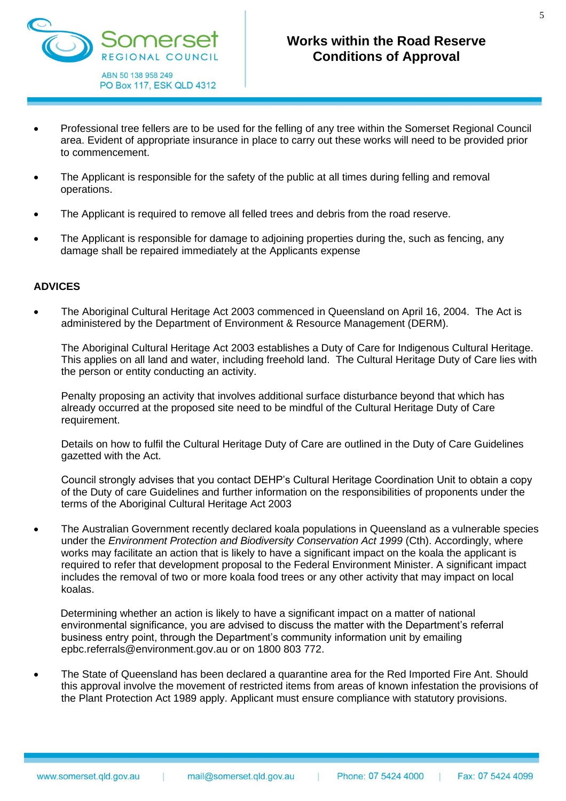

- Professional tree fellers are to be used for the felling of any tree within the Somerset Regional Council area. Evident of appropriate insurance in place to carry out these works will need to be provided prior to commencement.
- The Applicant is responsible for the safety of the public at all times during felling and removal operations.
- The Applicant is required to remove all felled trees and debris from the road reserve.
- The Applicant is responsible for damage to adjoining properties during the, such as fencing, any damage shall be repaired immediately at the Applicants expense

#### **ADVICES**

• The Aboriginal Cultural Heritage Act 2003 commenced in Queensland on April 16, 2004. The Act is administered by the Department of Environment & Resource Management (DERM).

The Aboriginal Cultural Heritage Act 2003 establishes a Duty of Care for Indigenous Cultural Heritage. This applies on all land and water, including freehold land. The Cultural Heritage Duty of Care lies with the person or entity conducting an activity.

Penalty proposing an activity that involves additional surface disturbance beyond that which has already occurred at the proposed site need to be mindful of the Cultural Heritage Duty of Care requirement.

Details on how to fulfil the Cultural Heritage Duty of Care are outlined in the Duty of Care Guidelines gazetted with the Act.

Council strongly advises that you contact DEHP's Cultural Heritage Coordination Unit to obtain a copy of the Duty of care Guidelines and further information on the responsibilities of proponents under the terms of the Aboriginal Cultural Heritage Act 2003

• The Australian Government recently declared koala populations in Queensland as a vulnerable species under the *Environment Protection and Biodiversity Conservation Act 1999* (Cth). Accordingly, where works may facilitate an action that is likely to have a significant impact on the koala the applicant is required to refer that development proposal to the Federal Environment Minister. A significant impact includes the removal of two or more koala food trees or any other activity that may impact on local koalas.

Determining whether an action is likely to have a significant impact on a matter of national environmental significance, you are advised to discuss the matter with the Department's referral business entry point, through the Department's community information unit by emailing [epbc.referrals@environment.gov.au](mailto:epbc.referrals@environment.gov.au) or on 1800 803 772.

• The State of Queensland has been declared a quarantine area for the Red Imported Fire Ant. Should this approval involve the movement of restricted items from areas of known infestation the provisions of the Plant Protection Act 1989 apply. Applicant must ensure compliance with statutory provisions.